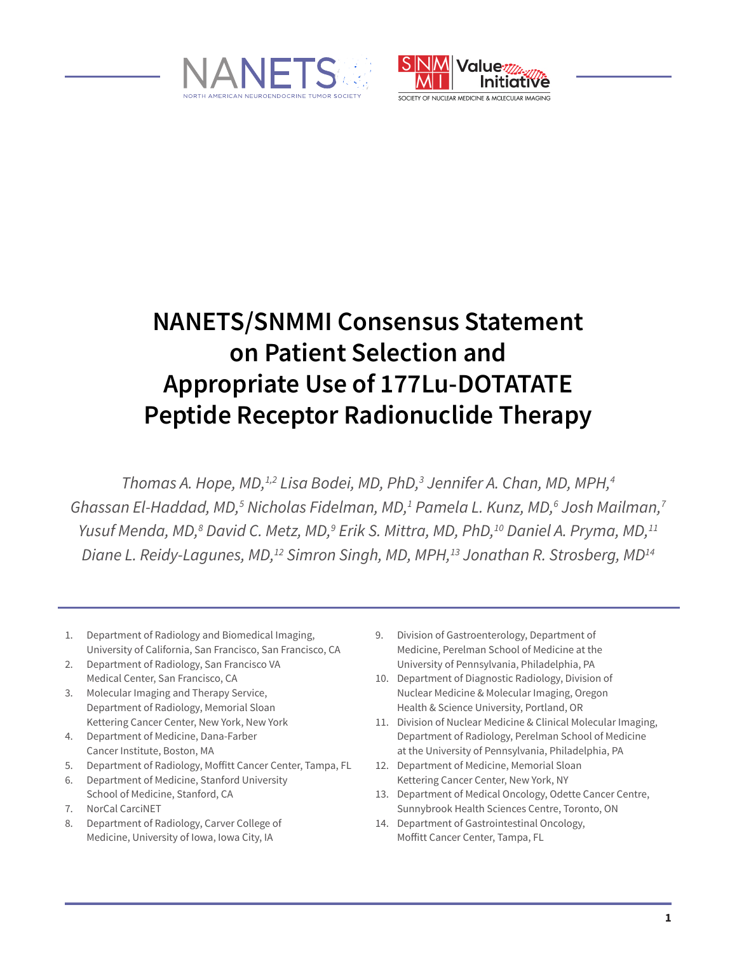



SOCIETY OF NUCLEAR MEDICINE & MOIFCULAR IMAGING

# **NANETS/SNMMI Consensus Statement on Patient Selection and Appropriate Use of 177Lu-DOTATATE Peptide Receptor Radionuclide Therapy**

*Thomas A. Hope, MD,1,2 Lisa Bodei, MD, PhD,3 Jennifer A. Chan, MD, MPH,4 Ghassan El-Haddad, MD,5 Nicholas Fidelman, MD,1 Pamela L. Kunz, MD,6 Josh Mailman,7* Yusuf Menda, MD,<sup>8</sup> David C. Metz, MD,<sup>9</sup> Erik S. Mittra, MD, PhD,<sup>10</sup> Daniel A. Pryma, MD,<sup>11</sup> *Diane L. Reidy-Lagunes, MD,<sup>12</sup> Simron Singh, MD, MPH,<sup>13</sup> Jonathan R. Strosberg, MD<sup>14</sup>* 

- 1. Department of Radiology and Biomedical Imaging, University of California, San Francisco, San Francisco, CA
- 2. Department of Radiology, San Francisco VA Medical Center, San Francisco, CA
- 3. Molecular Imaging and Therapy Service, Department of Radiology, Memorial Sloan Kettering Cancer Center, New York, New York
- 4. Department of Medicine, Dana-Farber Cancer Institute, Boston, MA
- 5. Department of Radiology, Moffitt Cancer Center, Tampa, FL
- 6. Department of Medicine, Stanford University School of Medicine, Stanford, CA
- 7. NorCal CarciNET
- 8. Department of Radiology, Carver College of Medicine, University of Iowa, Iowa City, IA
- 9. Division of Gastroenterology, Department of Medicine, Perelman School of Medicine at the University of Pennsylvania, Philadelphia, PA
- 10. Department of Diagnostic Radiology, Division of Nuclear Medicine & Molecular Imaging, Oregon Health & Science University, Portland, OR
- 11. Division of Nuclear Medicine & Clinical Molecular Imaging, Department of Radiology, Perelman School of Medicine at the University of Pennsylvania, Philadelphia, PA
- 12. Department of Medicine, Memorial Sloan Kettering Cancer Center, New York, NY
- 13. Department of Medical Oncology, Odette Cancer Centre, Sunnybrook Health Sciences Centre, Toronto, ON
- 14. Department of Gastrointestinal Oncology, Moffitt Cancer Center, Tampa, FL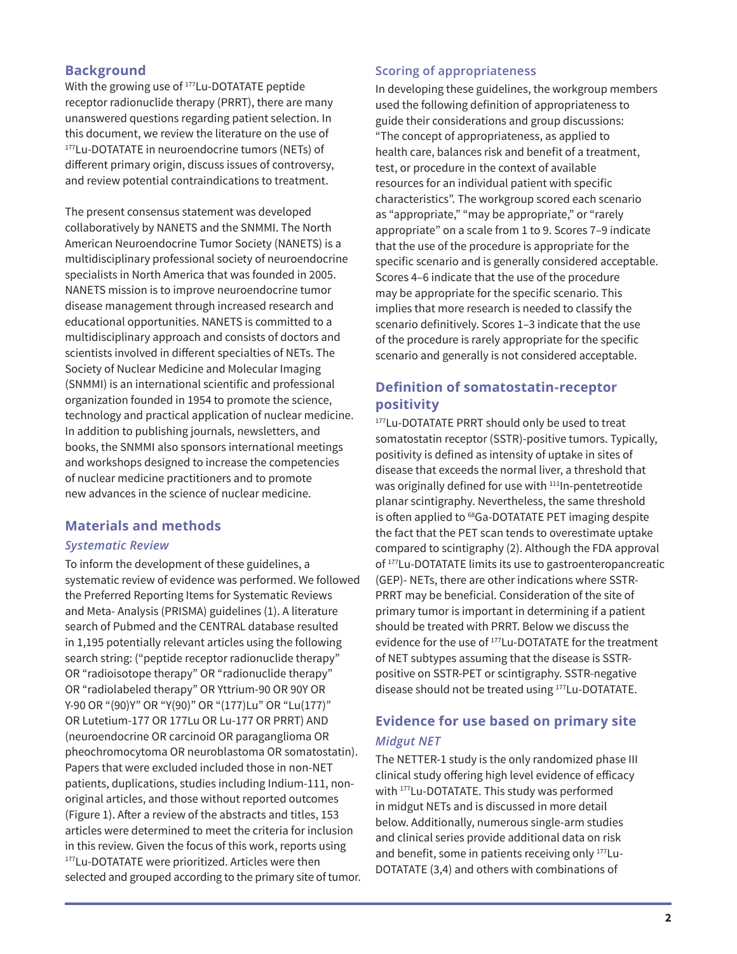## **Background**

With the growing use of <sup>177</sup>Lu-DOTATATE peptide receptor radionuclide therapy (PRRT), there are many unanswered questions regarding patient selection. In this document, we review the literature on the use of 177Lu-DOTATATE in neuroendocrine tumors (NETs) of different primary origin, discuss issues of controversy, and review potential contraindications to treatment.

The present consensus statement was developed collaboratively by NANETS and the SNMMI. The North American Neuroendocrine Tumor Society (NANETS) is a multidisciplinary professional society of neuroendocrine specialists in North America that was founded in 2005. NANETS mission is to improve neuroendocrine tumor disease management through increased research and educational opportunities. NANETS is committed to a multidisciplinary approach and consists of doctors and scientists involved in different specialties of NETs. The Society of Nuclear Medicine and Molecular Imaging (SNMMI) is an international scientific and professional organization founded in 1954 to promote the science, technology and practical application of nuclear medicine. In addition to publishing journals, newsletters, and books, the SNMMI also sponsors international meetings and workshops designed to increase the competencies of nuclear medicine practitioners and to promote new advances in the science of nuclear medicine.

## **Materials and methods**

#### *Systematic Review*

To inform the development of these guidelines, a systematic review of evidence was performed. We followed the Preferred Reporting Items for Systematic Reviews and Meta- Analysis (PRISMA) guidelines (1). A literature search of Pubmed and the CENTRAL database resulted in 1,195 potentially relevant articles using the following search string: ("peptide receptor radionuclide therapy" OR "radioisotope therapy" OR "radionuclide therapy" OR "radiolabeled therapy" OR Yttrium-90 OR 90Y OR Y-90 OR "(90)Y" OR "Y(90)" OR "(177)Lu" OR "Lu(177)" OR Lutetium-177 OR 177Lu OR Lu-177 OR PRRT) AND (neuroendocrine OR carcinoid OR paraganglioma OR pheochromocytoma OR neuroblastoma OR somatostatin). Papers that were excluded included those in non-NET patients, duplications, studies including Indium-111, nonoriginal articles, and those without reported outcomes (Figure 1). After a review of the abstracts and titles, 153 articles were determined to meet the criteria for inclusion in this review. Given the focus of this work, reports using 177Lu-DOTATATE were prioritized. Articles were then selected and grouped according to the primary site of tumor.

#### **Scoring of appropriateness**

In developing these guidelines, the workgroup members used the following definition of appropriateness to guide their considerations and group discussions: "The concept of appropriateness, as applied to health care, balances risk and benefit of a treatment, test, or procedure in the context of available resources for an individual patient with specific characteristics". The workgroup scored each scenario as "appropriate," "may be appropriate," or "rarely appropriate" on a scale from 1 to 9. Scores 7–9 indicate that the use of the procedure is appropriate for the specific scenario and is generally considered acceptable. Scores 4–6 indicate that the use of the procedure may be appropriate for the specific scenario. This implies that more research is needed to classify the scenario definitively. Scores 1–3 indicate that the use of the procedure is rarely appropriate for the specific scenario and generally is not considered acceptable.

## **Definition of somatostatin-receptor positivity**

<sup>177</sup>Lu-DOTATATE PRRT should only be used to treat somatostatin receptor (SSTR)-positive tumors. Typically, positivity is defined as intensity of uptake in sites of disease that exceeds the normal liver, a threshold that was originally defined for use with <sup>111</sup>In-pentetreotide planar scintigraphy. Nevertheless, the same threshold is often applied to <sup>68</sup>Ga-DOTATATE PET imaging despite the fact that the PET scan tends to overestimate uptake compared to scintigraphy (2). Although the FDA approval of 177Lu-DOTATATE limits its use to gastroenteropancreatic (GEP)- NETs, there are other indications where SSTR-PRRT may be beneficial. Consideration of the site of primary tumor is important in determining if a patient should be treated with PRRT. Below we discuss the evidence for the use of 177Lu-DOTATATE for the treatment of NET subtypes assuming that the disease is SSTRpositive on SSTR-PET or scintigraphy. SSTR-negative disease should not be treated using 177Lu-DOTATATE.

## **Evidence for use based on primary site** *Midgut NET*

The NETTER-1 study is the only randomized phase III clinical study offering high level evidence of efficacy with 177Lu-DOTATATE. This study was performed in midgut NETs and is discussed in more detail below. Additionally, numerous single-arm studies and clinical series provide additional data on risk and benefit, some in patients receiving only 177Lu-DOTATATE (3,4) and others with combinations of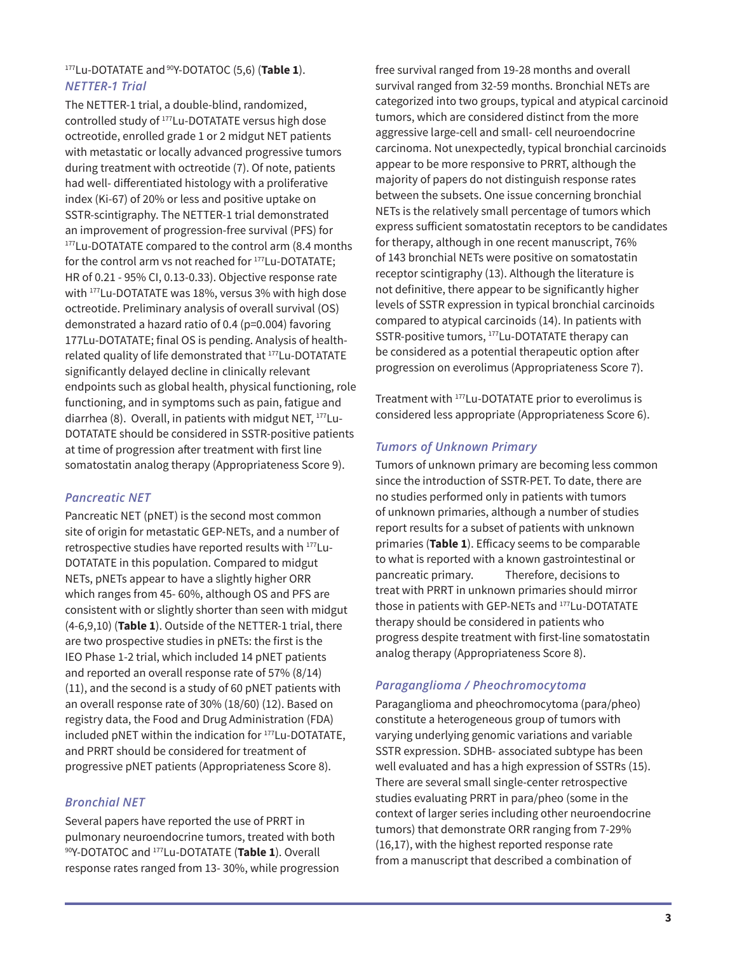#### <sup>177</sup>Lu-DOTATATE and 90Y-DOTATOC (5,6) (**Table 1**). *NETTER-1 Trial*

The NETTER-1 trial, a double-blind, randomized, controlled study of 177Lu-DOTATATE versus high dose octreotide, enrolled grade 1 or 2 midgut NET patients with metastatic or locally advanced progressive tumors during treatment with octreotide (7). Of note, patients had well- differentiated histology with a proliferative index (Ki-67) of 20% or less and positive uptake on SSTR-scintigraphy. The NETTER-1 trial demonstrated an improvement of progression-free survival (PFS) for <sup>177</sup>Lu-DOTATATE compared to the control arm (8.4 months) for the control arm vs not reached for 177Lu-DOTATATE; HR of 0.21 - 95% CI, 0.13-0.33). Objective response rate with 177Lu-DOTATATE was 18%, versus 3% with high dose octreotide. Preliminary analysis of overall survival (OS) demonstrated a hazard ratio of 0.4 (p=0.004) favoring 177Lu-DOTATATE; final OS is pending. Analysis of healthrelated quality of life demonstrated that 177Lu-DOTATATE significantly delayed decline in clinically relevant endpoints such as global health, physical functioning, role functioning, and in symptoms such as pain, fatigue and diarrhea (8). Overall, in patients with midgut NET, 177Lu-DOTATATE should be considered in SSTR-positive patients at time of progression after treatment with first line somatostatin analog therapy (Appropriateness Score 9).

## *Pancreatic NET*

Pancreatic NET (pNET) is the second most common site of origin for metastatic GEP-NETs, and a number of retrospective studies have reported results with 177Lu-DOTATATE in this population. Compared to midgut NETs, pNETs appear to have a slightly higher ORR which ranges from 45- 60%, although OS and PFS are consistent with or slightly shorter than seen with midgut (4-6,9,10) (**Table 1**). Outside of the NETTER-1 trial, there are two prospective studies in pNETs: the first is the IEO Phase 1-2 trial, which included 14 pNET patients and reported an overall response rate of 57% (8/14) (11), and the second is a study of 60 pNET patients with an overall response rate of 30% (18/60) (12). Based on registry data, the Food and Drug Administration (FDA) included pNET within the indication for 177Lu-DOTATATE, and PRRT should be considered for treatment of progressive pNET patients (Appropriateness Score 8).

#### *Bronchial NET*

Several papers have reported the use of PRRT in pulmonary neuroendocrine tumors, treated with both 90Y-DOTATOC and 177Lu-DOTATATE (**Table 1**). Overall response rates ranged from 13- 30%, while progression free survival ranged from 19-28 months and overall survival ranged from 32-59 months. Bronchial NETs are categorized into two groups, typical and atypical carcinoid tumors, which are considered distinct from the more aggressive large-cell and small- cell neuroendocrine carcinoma. Not unexpectedly, typical bronchial carcinoids appear to be more responsive to PRRT, although the majority of papers do not distinguish response rates between the subsets. One issue concerning bronchial NETs is the relatively small percentage of tumors which express sufficient somatostatin receptors to be candidates for therapy, although in one recent manuscript, 76% of 143 bronchial NETs were positive on somatostatin receptor scintigraphy (13). Although the literature is not definitive, there appear to be significantly higher levels of SSTR expression in typical bronchial carcinoids compared to atypical carcinoids (14). In patients with SSTR-positive tumors, 177Lu-DOTATATE therapy can be considered as a potential therapeutic option after progression on everolimus (Appropriateness Score 7).

Treatment with 177Lu-DOTATATE prior to everolimus is considered less appropriate (Appropriateness Score 6).

#### *Tumors of Unknown Primary*

Tumors of unknown primary are becoming less common since the introduction of SSTR-PET. To date, there are no studies performed only in patients with tumors of unknown primaries, although a number of studies report results for a subset of patients with unknown primaries (**Table 1**). Efficacy seems to be comparable to what is reported with a known gastrointestinal or pancreatic primary. Therefore, decisions to treat with PRRT in unknown primaries should mirror those in patients with GEP-NETs and 177Lu-DOTATATE therapy should be considered in patients who progress despite treatment with first-line somatostatin analog therapy (Appropriateness Score 8).

#### *Paraganglioma / Pheochromocytoma*

Paraganglioma and pheochromocytoma (para/pheo) constitute a heterogeneous group of tumors with varying underlying genomic variations and variable SSTR expression. SDHB- associated subtype has been well evaluated and has a high expression of SSTRs (15). There are several small single-center retrospective studies evaluating PRRT in para/pheo (some in the context of larger series including other neuroendocrine tumors) that demonstrate ORR ranging from 7-29% (16,17), with the highest reported response rate from a manuscript that described a combination of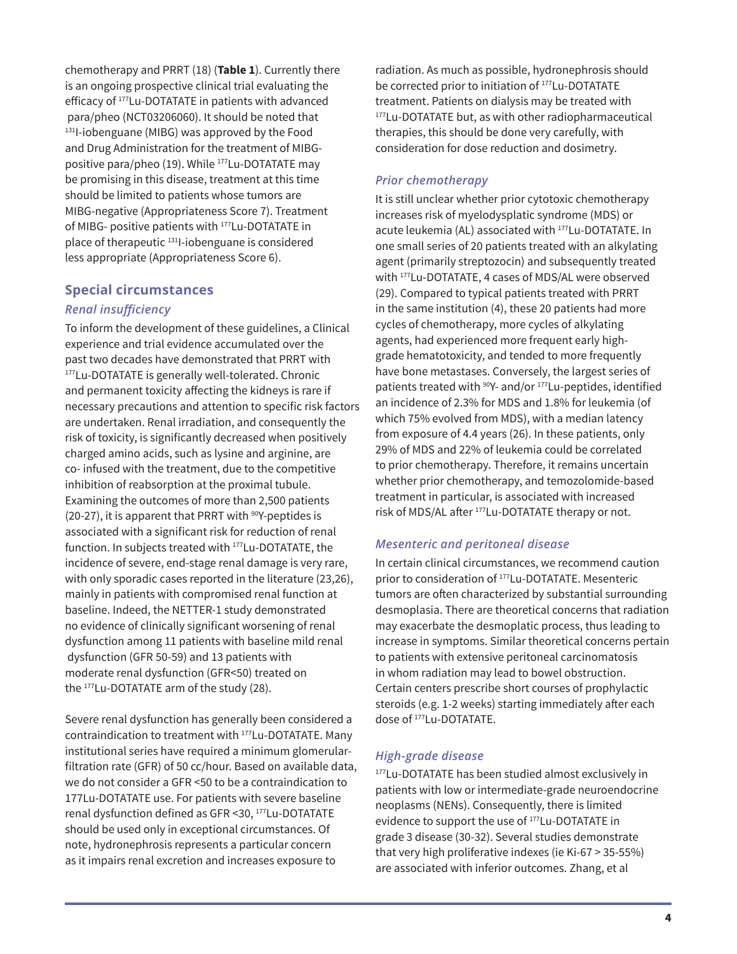chemotherapy and PRRT (18) (**Table 1**). Currently there is an ongoing prospective clinical trial evaluating the efficacy of <sup>177</sup>Lu-DOTATATE in patients with advanced para/pheo (NCT03206060). It should be noted that 131I-iobenguane (MIBG) was approved by the Food and Drug Administration for the treatment of MIBGpositive para/pheo (19). While <sup>177</sup>Lu-DOTATATE may be promising in this disease, treatment at this time should be limited to patients whose tumors are MIBG-negative (Appropriateness Score 7). Treatment of MIBG- positive patients with 177Lu-DOTATATE in place of therapeutic 131I-iobenguane is considered less appropriate (Appropriateness Score 6).

#### **Special circumstances**

#### *Renal insufficiency*

To inform the development of these guidelines, a Clinical experience and trial evidence accumulated over the past two decades have demonstrated that PRRT with 177Lu-DOTATATE is generally well-tolerated. Chronic and permanent toxicity affecting the kidneys is rare if necessary precautions and attention to specific risk factors are undertaken. Renal irradiation, and consequently the risk of toxicity, is significantly decreased when positively charged amino acids, such as lysine and arginine, are co- infused with the treatment, due to the competitive inhibition of reabsorption at the proximal tubule. Examining the outcomes of more than 2,500 patients (20-27), it is apparent that PRRT with  $90Y$ -peptides is associated with a significant risk for reduction of renal function. In subjects treated with 177Lu-DOTATATE, the incidence of severe, end-stage renal damage is very rare, with only sporadic cases reported in the literature (23,26), mainly in patients with compromised renal function at baseline. Indeed, the NETTER-1 study demonstrated no evidence of clinically significant worsening of renal dysfunction among 11 patients with baseline mild renal dysfunction (GFR 50-59) and 13 patients with moderate renal dysfunction (GFR<50) treated on the 177Lu-DOTATATE arm of the study (28).

Severe renal dysfunction has generally been considered a contraindication to treatment with 177Lu-DOTATATE. Many institutional series have required a minimum glomerularfiltration rate (GFR) of 50 cc/hour. Based on available data, we do not consider a GFR <50 to be a contraindication to 177Lu-DOTATATE use. For patients with severe baseline renal dysfunction defined as GFR <30, <sup>177</sup>Lu-DOTATATE should be used only in exceptional circumstances. Of note, hydronephrosis represents a particular concern as it impairs renal excretion and increases exposure to

radiation. As much as possible, hydronephrosis should be corrected prior to initiation of <sup>177</sup>Lu-DOTATATE treatment. Patients on dialysis may be treated with <sup>177</sup>Lu-DOTATATE but, as with other radiopharmaceutical therapies, this should be done very carefully, with consideration for dose reduction and dosimetry.

#### *Prior chemotherapy*

It is still unclear whether prior cytotoxic chemotherapy increases risk of myelodysplatic syndrome (MDS) or acute leukemia (AL) associated with <sup>177</sup>Lu-DOTATATE. In one small series of 20 patients treated with an alkylating agent (primarily streptozocin) and subsequently treated with 177Lu-DOTATATE, 4 cases of MDS/AL were observed (29). Compared to typical patients treated with PRRT in the same institution (4), these 20 patients had more cycles of chemotherapy, more cycles of alkylating agents, had experienced more frequent early highgrade hematotoxicity, and tended to more frequently have bone metastases. Conversely, the largest series of patients treated with <sup>90</sup>Y- and/or <sup>177</sup>Lu-peptides, identified an incidence of 2.3% for MDS and 1.8% for leukemia (of which 75% evolved from MDS), with a median latency from exposure of 4.4 years (26). In these patients, only 29% of MDS and 22% of leukemia could be correlated to prior chemotherapy. Therefore, it remains uncertain whether prior chemotherapy, and temozolomide-based treatment in particular, is associated with increased risk of MDS/AL after <sup>177</sup>Lu-DOTATATE therapy or not.

#### *Mesenteric and peritoneal disease*

In certain clinical circumstances, we recommend caution prior to consideration of 177Lu-DOTATATE. Mesenteric tumors are often characterized by substantial surrounding desmoplasia. There are theoretical concerns that radiation may exacerbate the desmoplatic process, thus leading to increase in symptoms. Similar theoretical concerns pertain to patients with extensive peritoneal carcinomatosis in whom radiation may lead to bowel obstruction. Certain centers prescribe short courses of prophylactic steroids (e.g. 1-2 weeks) starting immediately after each dose of 177Lu-DOTATATE.

#### *High-grade disease*

177Lu-DOTATATE has been studied almost exclusively in patients with low or intermediate-grade neuroendocrine neoplasms (NENs). Consequently, there is limited evidence to support the use of 177Lu-DOTATATE in grade 3 disease (30-32). Several studies demonstrate that very high proliferative indexes (ie Ki-67 > 35-55%) are associated with inferior outcomes. Zhang, et al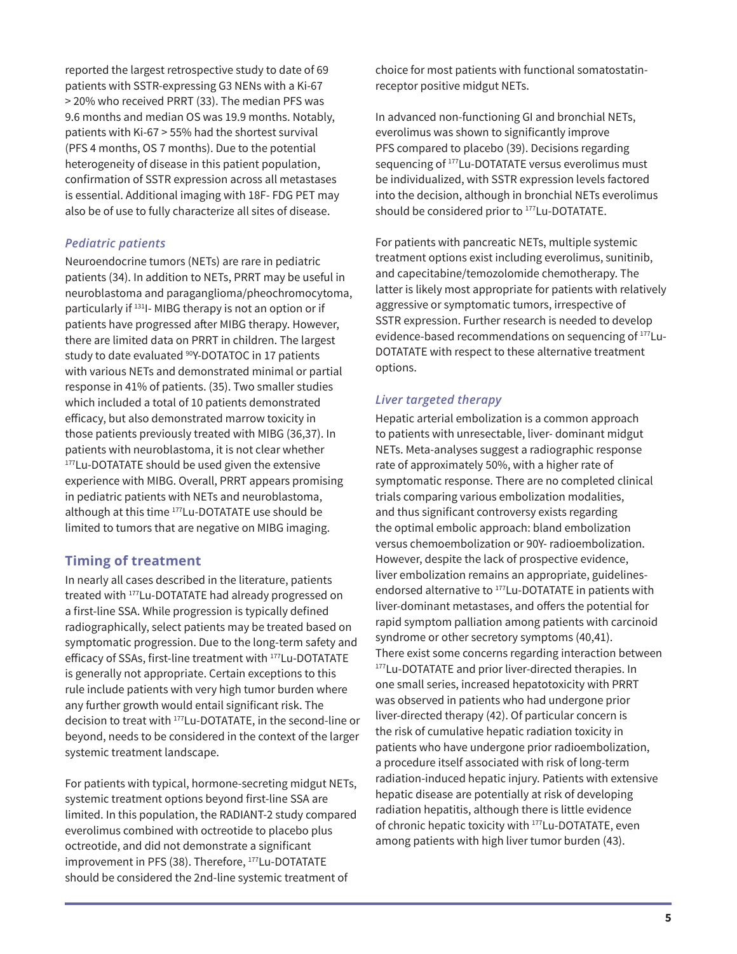reported the largest retrospective study to date of 69 patients with SSTR-expressing G3 NENs with a Ki-67 > 20% who received PRRT (33). The median PFS was 9.6 months and median OS was 19.9 months. Notably, patients with Ki-67 > 55% had the shortest survival (PFS 4 months, OS 7 months). Due to the potential heterogeneity of disease in this patient population, confirmation of SSTR expression across all metastases is essential. Additional imaging with 18F- FDG PET may also be of use to fully characterize all sites of disease.

## *Pediatric patients*

Neuroendocrine tumors (NETs) are rare in pediatric patients (34). In addition to NETs, PRRT may be useful in neuroblastoma and paraganglioma/pheochromocytoma, particularly if 131I- MIBG therapy is not an option or if patients have progressed after MIBG therapy. However, there are limited data on PRRT in children. The largest study to date evaluated <sup>90</sup>Y-DOTATOC in 17 patients with various NETs and demonstrated minimal or partial response in 41% of patients. (35). Two smaller studies which included a total of 10 patients demonstrated efficacy, but also demonstrated marrow toxicity in those patients previously treated with MIBG (36,37). In patients with neuroblastoma, it is not clear whether <sup>177</sup>Lu-DOTATATE should be used given the extensive experience with MIBG. Overall, PRRT appears promising in pediatric patients with NETs and neuroblastoma, although at this time 177Lu-DOTATATE use should be limited to tumors that are negative on MIBG imaging.

## **Timing of treatment**

In nearly all cases described in the literature, patients treated with 177Lu-DOTATATE had already progressed on a first-line SSA. While progression is typically defined radiographically, select patients may be treated based on symptomatic progression. Due to the long-term safety and efficacy of SSAs, first-line treatment with <sup>177</sup>Lu-DOTATATE is generally not appropriate. Certain exceptions to this rule include patients with very high tumor burden where any further growth would entail significant risk. The decision to treat with 177Lu-DOTATATE, in the second-line or beyond, needs to be considered in the context of the larger systemic treatment landscape.

For patients with typical, hormone-secreting midgut NETs, systemic treatment options beyond first-line SSA are limited. In this population, the RADIANT-2 study compared everolimus combined with octreotide to placebo plus octreotide, and did not demonstrate a significant improvement in PFS (38). Therefore, 177Lu-DOTATATE should be considered the 2nd-line systemic treatment of

choice for most patients with functional somatostatinreceptor positive midgut NETs.

In advanced non-functioning GI and bronchial NETs, everolimus was shown to significantly improve PFS compared to placebo (39). Decisions regarding sequencing of <sup>177</sup>Lu-DOTATATE versus everolimus must be individualized, with SSTR expression levels factored into the decision, although in bronchial NETs everolimus should be considered prior to <sup>177</sup>Lu-DOTATATE.

For patients with pancreatic NETs, multiple systemic treatment options exist including everolimus, sunitinib, and capecitabine/temozolomide chemotherapy. The latter is likely most appropriate for patients with relatively aggressive or symptomatic tumors, irrespective of SSTR expression. Further research is needed to develop evidence-based recommendations on sequencing of 177Lu-DOTATATE with respect to these alternative treatment options.

#### *Liver targeted therapy*

Hepatic arterial embolization is a common approach to patients with unresectable, liver- dominant midgut NETs. Meta-analyses suggest a radiographic response rate of approximately 50%, with a higher rate of symptomatic response. There are no completed clinical trials comparing various embolization modalities, and thus significant controversy exists regarding the optimal embolic approach: bland embolization versus chemoembolization or 90Y- radioembolization. However, despite the lack of prospective evidence, liver embolization remains an appropriate, guidelinesendorsed alternative to <sup>177</sup>Lu-DOTATATE in patients with liver-dominant metastases, and offers the potential for rapid symptom palliation among patients with carcinoid syndrome or other secretory symptoms (40,41). There exist some concerns regarding interaction between 177Lu-DOTATATE and prior liver-directed therapies. In one small series, increased hepatotoxicity with PRRT was observed in patients who had undergone prior liver-directed therapy (42). Of particular concern is the risk of cumulative hepatic radiation toxicity in patients who have undergone prior radioembolization, a procedure itself associated with risk of long-term radiation-induced hepatic injury. Patients with extensive hepatic disease are potentially at risk of developing radiation hepatitis, although there is little evidence of chronic hepatic toxicity with 177Lu-DOTATATE, even among patients with high liver tumor burden (43).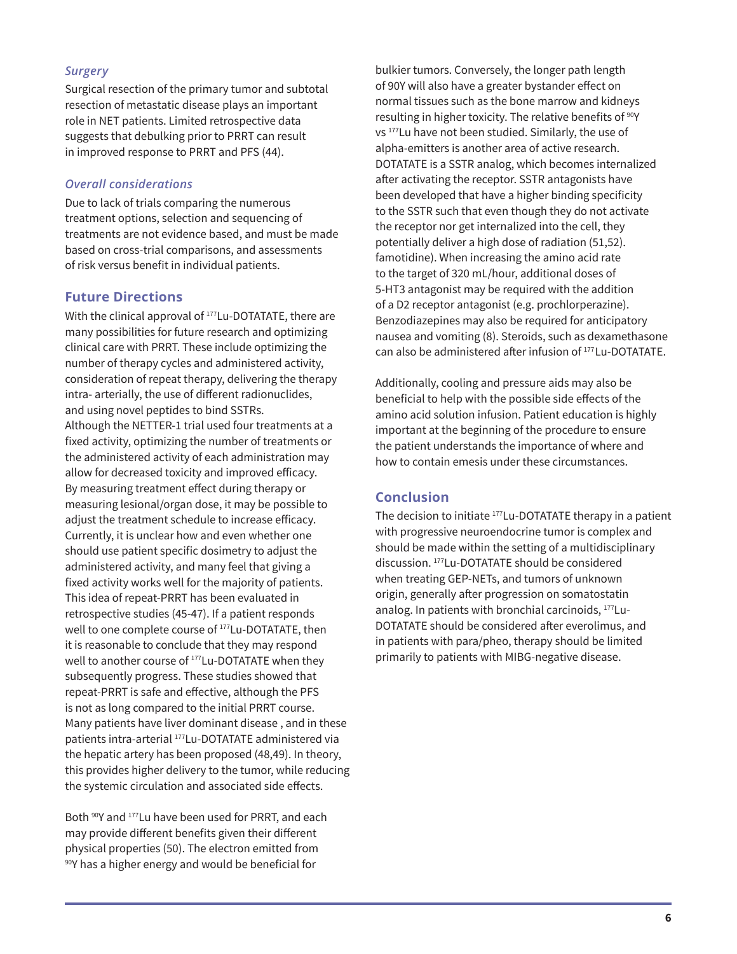### *Surgery*

Surgical resection of the primary tumor and subtotal resection of metastatic disease plays an important role in NET patients. Limited retrospective data suggests that debulking prior to PRRT can result in improved response to PRRT and PFS (44).

#### *Overall considerations*

Due to lack of trials comparing the numerous treatment options, selection and sequencing of treatments are not evidence based, and must be made based on cross-trial comparisons, and assessments of risk versus benefit in individual patients.

## **Future Directions**

With the clinical approval of <sup>177</sup>Lu-DOTATATE, there are many possibilities for future research and optimizing clinical care with PRRT. These include optimizing the number of therapy cycles and administered activity, consideration of repeat therapy, delivering the therapy intra- arterially, the use of different radionuclides, and using novel peptides to bind SSTRs. Although the NETTER-1 trial used four treatments at a fixed activity, optimizing the number of treatments or the administered activity of each administration may allow for decreased toxicity and improved efficacy. By measuring treatment effect during therapy or measuring lesional/organ dose, it may be possible to adjust the treatment schedule to increase efficacy. Currently, it is unclear how and even whether one should use patient specific dosimetry to adjust the administered activity, and many feel that giving a fixed activity works well for the majority of patients. This idea of repeat-PRRT has been evaluated in retrospective studies (45-47). If a patient responds well to one complete course of 177Lu-DOTATATE, then it is reasonable to conclude that they may respond well to another course of <sup>177</sup>Lu-DOTATATE when they subsequently progress. These studies showed that repeat-PRRT is safe and effective, although the PFS is not as long compared to the initial PRRT course. Many patients have liver dominant disease , and in these patients intra-arterial 177Lu-DOTATATE administered via the hepatic artery has been proposed (48,49). In theory, this provides higher delivery to the tumor, while reducing the systemic circulation and associated side effects.

Both <sup>90</sup>Y and <sup>177</sup>Lu have been used for PRRT, and each may provide different benefits given their different physical properties (50). The electron emitted from 90Y has a higher energy and would be beneficial for

bulkier tumors. Conversely, the longer path length of 90Y will also have a greater bystander effect on normal tissues such as the bone marrow and kidneys resulting in higher toxicity. The relative benefits of <sup>90</sup>Y vs 177Lu have not been studied. Similarly, the use of alpha-emitters is another area of active research. DOTATATE is a SSTR analog, which becomes internalized after activating the receptor. SSTR antagonists have been developed that have a higher binding specificity to the SSTR such that even though they do not activate the receptor nor get internalized into the cell, they potentially deliver a high dose of radiation (51,52). famotidine). When increasing the amino acid rate to the target of 320 mL/hour, additional doses of 5-HT3 antagonist may be required with the addition of a D2 receptor antagonist (e.g. prochlorperazine). Benzodiazepines may also be required for anticipatory nausea and vomiting (8). Steroids, such as dexamethasone can also be administered after infusion of <sup>177</sup>Lu-DOTATATE.

Additionally, cooling and pressure aids may also be beneficial to help with the possible side effects of the amino acid solution infusion. Patient education is highly important at the beginning of the procedure to ensure the patient understands the importance of where and how to contain emesis under these circumstances.

## **Conclusion**

The decision to initiate <sup>177</sup>Lu-DOTATATE therapy in a patient with progressive neuroendocrine tumor is complex and should be made within the setting of a multidisciplinary discussion. 177Lu-DOTATATE should be considered when treating GEP-NETs, and tumors of unknown origin, generally after progression on somatostatin analog. In patients with bronchial carcinoids, 177Lu-DOTATATE should be considered after everolimus, and in patients with para/pheo, therapy should be limited primarily to patients with MIBG-negative disease.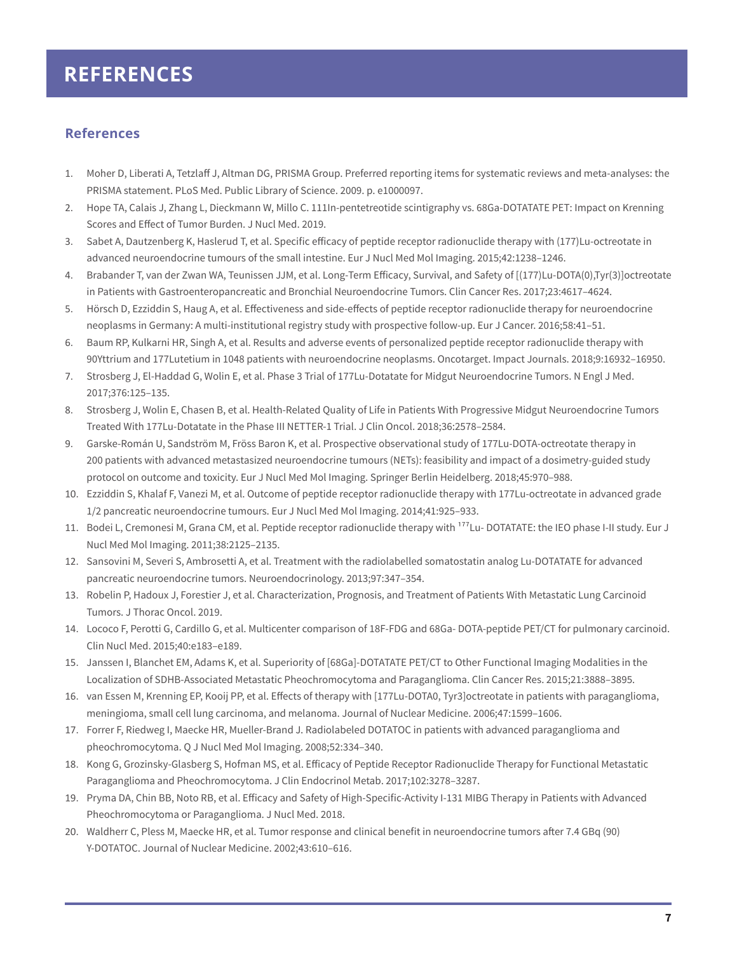## **REFERENCES**

## **References**

- 1. Moher D, Liberati A, Tetzlaff J, Altman DG, PRISMA Group. Preferred reporting items for systematic reviews and meta-analyses: the PRISMA statement. PLoS Med. Public Library of Science. 2009. p. e1000097.
- 2. Hope TA, Calais J, Zhang L, Dieckmann W, Millo C. 111In-pentetreotide scintigraphy vs. 68Ga-DOTATATE PET: Impact on Krenning Scores and Effect of Tumor Burden. J Nucl Med. 2019.
- 3. Sabet A, Dautzenberg K, Haslerud T, et al. Specific efficacy of peptide receptor radionuclide therapy with (177)Lu-octreotate in advanced neuroendocrine tumours of the small intestine. Eur J Nucl Med Mol Imaging. 2015;42:1238–1246.
- 4. Brabander T, van der Zwan WA, Teunissen JJM, et al. Long-Term Efficacy, Survival, and Safety of [(177)Lu-DOTA(0),Tyr(3)]octreotate in Patients with Gastroenteropancreatic and Bronchial Neuroendocrine Tumors. Clin Cancer Res. 2017;23:4617–4624.
- 5. Hörsch D, Ezziddin S, Haug A, et al. Effectiveness and side-effects of peptide receptor radionuclide therapy for neuroendocrine neoplasms in Germany: A multi-institutional registry study with prospective follow-up. Eur J Cancer. 2016;58:41–51.
- 6. Baum RP, Kulkarni HR, Singh A, et al. Results and adverse events of personalized peptide receptor radionuclide therapy with 90Yttrium and 177Lutetium in 1048 patients with neuroendocrine neoplasms. Oncotarget. Impact Journals. 2018;9:16932–16950.
- 7. Strosberg J, El-Haddad G, Wolin E, et al. Phase 3 Trial of 177Lu-Dotatate for Midgut Neuroendocrine Tumors. N Engl J Med. 2017;376:125–135.
- 8. Strosberg J, Wolin E, Chasen B, et al. Health-Related Quality of Life in Patients With Progressive Midgut Neuroendocrine Tumors Treated With 177Lu-Dotatate in the Phase III NETTER-1 Trial. J Clin Oncol. 2018;36:2578–2584.
- 9. Garske-Román U, Sandström M, Fröss Baron K, et al. Prospective observational study of 177Lu-DOTA-octreotate therapy in 200 patients with advanced metastasized neuroendocrine tumours (NETs): feasibility and impact of a dosimetry-guided study protocol on outcome and toxicity. Eur J Nucl Med Mol Imaging. Springer Berlin Heidelberg. 2018;45:970–988.
- 10. Ezziddin S, Khalaf F, Vanezi M, et al. Outcome of peptide receptor radionuclide therapy with 177Lu-octreotate in advanced grade 1/2 pancreatic neuroendocrine tumours. Eur J Nucl Med Mol Imaging. 2014;41:925–933.
- 11. Bodei L, Cremonesi M, Grana CM, et al. Peptide receptor radionuclide therapy with <sup>177</sup>Lu- DOTATATE: the IEO phase I-II study. Eur J Nucl Med Mol Imaging. 2011;38:2125–2135.
- 12. Sansovini M, Severi S, Ambrosetti A, et al. Treatment with the radiolabelled somatostatin analog Lu-DOTATATE for advanced pancreatic neuroendocrine tumors. Neuroendocrinology. 2013;97:347–354.
- 13. Robelin P, Hadoux J, Forestier J, et al. Characterization, Prognosis, and Treatment of Patients With Metastatic Lung Carcinoid Tumors. J Thorac Oncol. 2019.
- 14. Lococo F, Perotti G, Cardillo G, et al. Multicenter comparison of 18F-FDG and 68Ga- DOTA-peptide PET/CT for pulmonary carcinoid. Clin Nucl Med. 2015;40:e183–e189.
- 15. Janssen I, Blanchet EM, Adams K, et al. Superiority of [68Ga]-DOTATATE PET/CT to Other Functional Imaging Modalities in the Localization of SDHB-Associated Metastatic Pheochromocytoma and Paraganglioma. Clin Cancer Res. 2015;21:3888–3895.
- 16. van Essen M, Krenning EP, Kooij PP, et al. Effects of therapy with [177Lu-DOTA0, Tyr3]octreotate in patients with paraganglioma, meningioma, small cell lung carcinoma, and melanoma. Journal of Nuclear Medicine. 2006;47:1599–1606.
- 17. Forrer F, Riedweg I, Maecke HR, Mueller-Brand J. Radiolabeled DOTATOC in patients with advanced paraganglioma and pheochromocytoma. Q J Nucl Med Mol Imaging. 2008;52:334–340.
- 18. Kong G, Grozinsky-Glasberg S, Hofman MS, et al. Efficacy of Peptide Receptor Radionuclide Therapy for Functional Metastatic Paraganglioma and Pheochromocytoma. J Clin Endocrinol Metab. 2017;102:3278–3287.
- 19. Pryma DA, Chin BB, Noto RB, et al. Efficacy and Safety of High-Specific-Activity I-131 MIBG Therapy in Patients with Advanced Pheochromocytoma or Paraganglioma. J Nucl Med. 2018.
- 20. Waldherr C, Pless M, Maecke HR, et al. Tumor response and clinical benefit in neuroendocrine tumors after 7.4 GBq (90) Y-DOTATOC. Journal of Nuclear Medicine. 2002;43:610–616.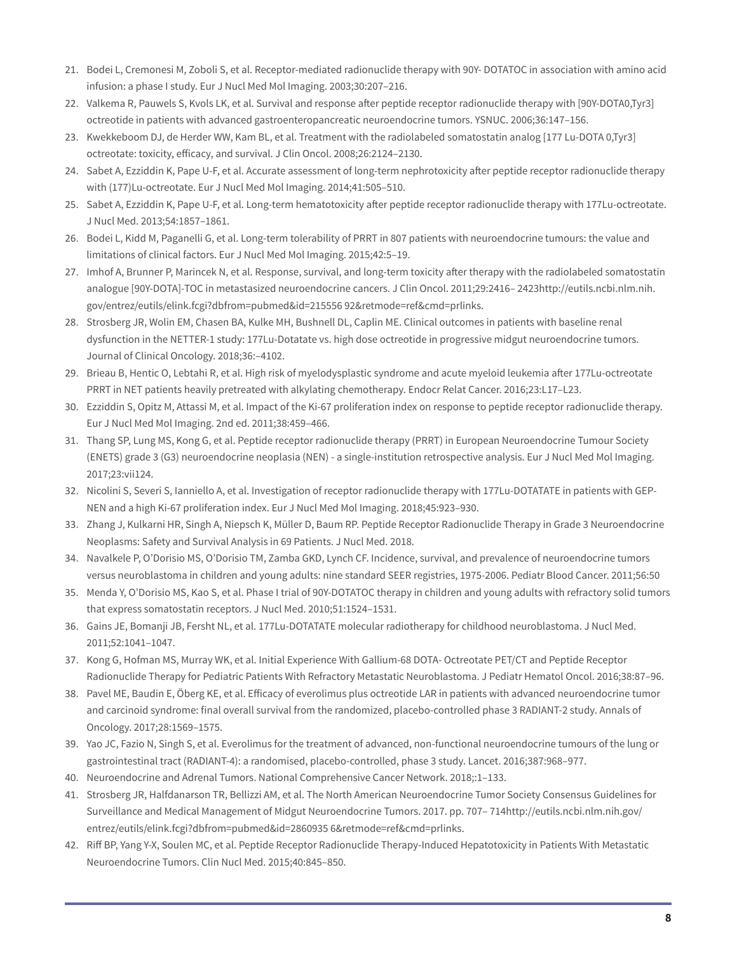- 21. Bodei L, Cremonesi M, Zoboli S, et al. Receptor-mediated radionuclide therapy with 90Y- DOTATOC in association with amino acid infusion: a phase I study. Eur J Nucl Med Mol Imaging. 2003;30:207–216.
- 22. Valkema R, Pauwels S, Kvols LK, et al. Survival and response after peptide receptor radionuclide therapy with [90Y-DOTA0,Tyr3] octreotide in patients with advanced gastroenteropancreatic neuroendocrine tumors. YSNUC. 2006;36:147–156.
- 23. Kwekkeboom DJ, de Herder WW, Kam BL, et al. Treatment with the radiolabeled somatostatin analog [177 Lu-DOTA 0,Tyr3] octreotate: toxicity, efficacy, and survival. J Clin Oncol. 2008;26:2124–2130.
- 24. Sabet A, Ezziddin K, Pape U-F, et al. Accurate assessment of long-term nephrotoxicity after peptide receptor radionuclide therapy with (177)Lu-octreotate. Eur J Nucl Med Mol Imaging. 2014;41:505–510.
- 25. Sabet A, Ezziddin K, Pape U-F, et al. Long-term hematotoxicity after peptide receptor radionuclide therapy with 177Lu-octreotate. J Nucl Med. 2013;54:1857–1861.
- 26. Bodei L, Kidd M, Paganelli G, et al. Long-term tolerability of PRRT in 807 patients with neuroendocrine tumours: the value and limitations of clinical factors. Eur J Nucl Med Mol Imaging. 2015;42:5–19.
- 27. Imhof A, Brunner P, Marincek N, et al. Response, survival, and long-term toxicity after therapy with the radiolabeled somatostatin analogue [90Y-DOTA]-TOC in metastasized neuroendocrine cancers. J Clin Oncol. 2011;29:2416– 2423http://eutils.ncbi.nlm.nih. gov/entrez/eutils/elink.fcgi?dbfrom=pubmed&id=215556 92&retmode=ref&cmd=prlinks.
- 28. Strosberg JR, Wolin EM, Chasen BA, Kulke MH, Bushnell DL, Caplin ME. Clinical outcomes in patients with baseline renal dysfunction in the NETTER-1 study: 177Lu-Dotatate vs. high dose octreotide in progressive midgut neuroendocrine tumors. Journal of Clinical Oncology. 2018;36:–4102.
- 29. Brieau B, Hentic O, Lebtahi R, et al. High risk of myelodysplastic syndrome and acute myeloid leukemia after 177Lu-octreotate PRRT in NET patients heavily pretreated with alkylating chemotherapy. Endocr Relat Cancer. 2016;23:L17–L23.
- 30. Ezziddin S, Opitz M, Attassi M, et al. Impact of the Ki-67 proliferation index on response to peptide receptor radionuclide therapy. Eur J Nucl Med Mol Imaging. 2nd ed. 2011;38:459–466.
- 31. Thang SP, Lung MS, Kong G, et al. Peptide receptor radionuclide therapy (PRRT) in European Neuroendocrine Tumour Society (ENETS) grade 3 (G3) neuroendocrine neoplasia (NEN) - a single-institution retrospective analysis. Eur J Nucl Med Mol Imaging. 2017;23:vii124.
- 32. Nicolini S, Severi S, Ianniello A, et al. Investigation of receptor radionuclide therapy with 177Lu-DOTATATE in patients with GEP-NEN and a high Ki-67 proliferation index. Eur J Nucl Med Mol Imaging. 2018;45:923–930.
- 33. Zhang J, Kulkarni HR, Singh A, Niepsch K, Müller D, Baum RP. Peptide Receptor Radionuclide Therapy in Grade 3 Neuroendocrine Neoplasms: Safety and Survival Analysis in 69 Patients. J Nucl Med. 2018.
- 34. Navalkele P, O'Dorisio MS, O'Dorisio TM, Zamba GKD, Lynch CF. Incidence, survival, and prevalence of neuroendocrine tumors versus neuroblastoma in children and young adults: nine standard SEER registries, 1975-2006. Pediatr Blood Cancer. 2011;56:50
- 35. Menda Y, O'Dorisio MS, Kao S, et al. Phase I trial of 90Y-DOTATOC therapy in children and young adults with refractory solid tumors that express somatostatin receptors. J Nucl Med. 2010;51:1524–1531.
- 36. Gains JE, Bomanji JB, Fersht NL, et al. 177Lu-DOTATATE molecular radiotherapy for childhood neuroblastoma. J Nucl Med. 2011;52:1041–1047.
- 37. Kong G, Hofman MS, Murray WK, et al. Initial Experience With Gallium-68 DOTA- Octreotate PET/CT and Peptide Receptor Radionuclide Therapy for Pediatric Patients With Refractory Metastatic Neuroblastoma. J Pediatr Hematol Oncol. 2016;38:87–96.
- 38. Pavel ME, Baudin E, Öberg KE, et al. Efficacy of everolimus plus octreotide LAR in patients with advanced neuroendocrine tumor and carcinoid syndrome: final overall survival from the randomized, placebo-controlled phase 3 RADIANT-2 study. Annals of Oncology. 2017;28:1569–1575.
- 39. Yao JC, Fazio N, Singh S, et al. Everolimus for the treatment of advanced, non-functional neuroendocrine tumours of the lung or gastrointestinal tract (RADIANT-4): a randomised, placebo-controlled, phase 3 study. Lancet. 2016;387:968–977.
- 40. Neuroendocrine and Adrenal Tumors. National Comprehensive Cancer Network. 2018;:1–133.
- 41. Strosberg JR, Halfdanarson TR, Bellizzi AM, et al. The North American Neuroendocrine Tumor Society Consensus Guidelines for Surveillance and Medical Management of Midgut Neuroendocrine Tumors. 2017. pp. 707– 714http://eutils.ncbi.nlm.nih.gov/ entrez/eutils/elink.fcgi?dbfrom=pubmed&id=2860935 6&retmode=ref&cmd=prlinks.
- 42. Riff BP, Yang Y-X, Soulen MC, et al. Peptide Receptor Radionuclide Therapy-Induced Hepatotoxicity in Patients With Metastatic Neuroendocrine Tumors. Clin Nucl Med. 2015;40:845–850.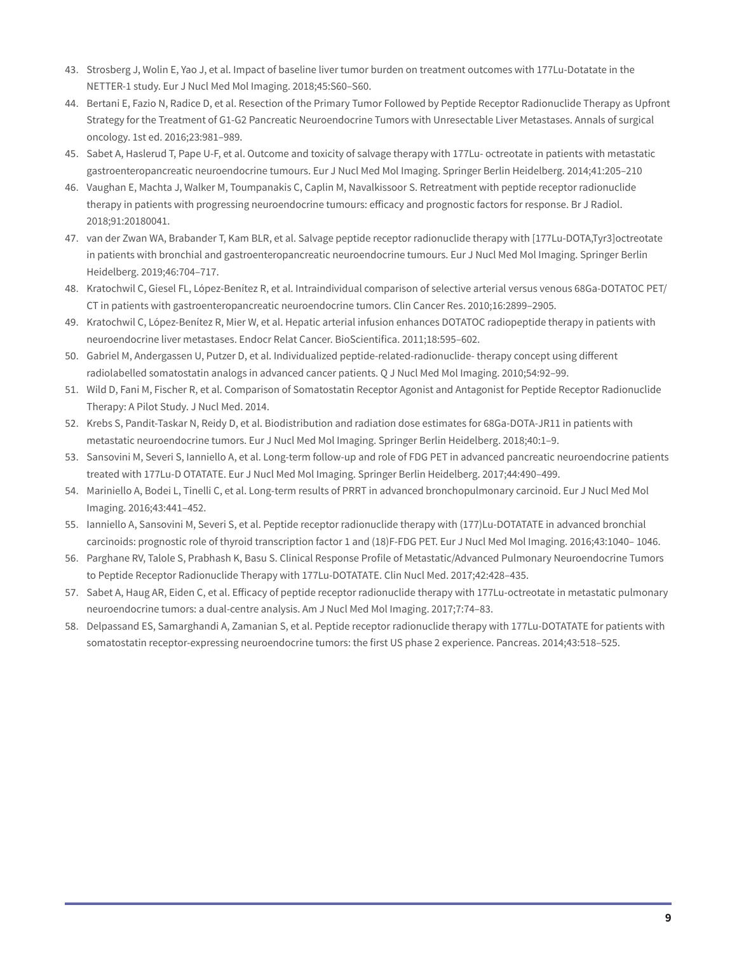- 43. Strosberg J, Wolin E, Yao J, et al. Impact of baseline liver tumor burden on treatment outcomes with 177Lu-Dotatate in the NETTER-1 study. Eur J Nucl Med Mol Imaging. 2018;45:S60–S60.
- 44. Bertani E, Fazio N, Radice D, et al. Resection of the Primary Tumor Followed by Peptide Receptor Radionuclide Therapy as Upfront Strategy for the Treatment of G1-G2 Pancreatic Neuroendocrine Tumors with Unresectable Liver Metastases. Annals of surgical oncology. 1st ed. 2016;23:981–989.
- 45. Sabet A, Haslerud T, Pape U-F, et al. Outcome and toxicity of salvage therapy with 177Lu- octreotate in patients with metastatic gastroenteropancreatic neuroendocrine tumours. Eur J Nucl Med Mol Imaging. Springer Berlin Heidelberg. 2014;41:205–210
- 46. Vaughan E, Machta J, Walker M, Toumpanakis C, Caplin M, Navalkissoor S. Retreatment with peptide receptor radionuclide therapy in patients with progressing neuroendocrine tumours: efficacy and prognostic factors for response. Br J Radiol. 2018;91:20180041.
- 47. van der Zwan WA, Brabander T, Kam BLR, et al. Salvage peptide receptor radionuclide therapy with [177Lu-DOTA,Tyr3]octreotate in patients with bronchial and gastroenteropancreatic neuroendocrine tumours. Eur J Nucl Med Mol Imaging. Springer Berlin Heidelberg. 2019;46:704–717.
- 48. Kratochwil C, Giesel FL, López-Benítez R, et al. Intraindividual comparison of selective arterial versus venous 68Ga-DOTATOC PET/ CT in patients with gastroenteropancreatic neuroendocrine tumors. Clin Cancer Res. 2010;16:2899–2905.
- 49. Kratochwil C, López-Benítez R, Mier W, et al. Hepatic arterial infusion enhances DOTATOC radiopeptide therapy in patients with neuroendocrine liver metastases. Endocr Relat Cancer. BioScientifica. 2011;18:595–602.
- 50. Gabriel M, Andergassen U, Putzer D, et al. Individualized peptide-related-radionuclide- therapy concept using different radiolabelled somatostatin analogs in advanced cancer patients. Q J Nucl Med Mol Imaging. 2010;54:92–99.
- 51. Wild D, Fani M, Fischer R, et al. Comparison of Somatostatin Receptor Agonist and Antagonist for Peptide Receptor Radionuclide Therapy: A Pilot Study. J Nucl Med. 2014.
- 52. Krebs S, Pandit-Taskar N, Reidy D, et al. Biodistribution and radiation dose estimates for 68Ga-DOTA-JR11 in patients with metastatic neuroendocrine tumors. Eur J Nucl Med Mol Imaging. Springer Berlin Heidelberg. 2018;40:1–9.
- 53. Sansovini M, Severi S, Ianniello A, et al. Long-term follow-up and role of FDG PET in advanced pancreatic neuroendocrine patients treated with 177Lu-D OTATATE. Eur J Nucl Med Mol Imaging. Springer Berlin Heidelberg. 2017;44:490–499.
- 54. Mariniello A, Bodei L, Tinelli C, et al. Long-term results of PRRT in advanced bronchopulmonary carcinoid. Eur J Nucl Med Mol Imaging. 2016;43:441–452.
- 55. Ianniello A, Sansovini M, Severi S, et al. Peptide receptor radionuclide therapy with (177)Lu-DOTATATE in advanced bronchial carcinoids: prognostic role of thyroid transcription factor 1 and (18)F-FDG PET. Eur J Nucl Med Mol Imaging. 2016;43:1040– 1046.
- 56. Parghane RV, Talole S, Prabhash K, Basu S. Clinical Response Profile of Metastatic/Advanced Pulmonary Neuroendocrine Tumors to Peptide Receptor Radionuclide Therapy with 177Lu-DOTATATE. Clin Nucl Med. 2017;42:428–435.
- 57. Sabet A, Haug AR, Eiden C, et al. Efficacy of peptide receptor radionuclide therapy with 177Lu-octreotate in metastatic pulmonary neuroendocrine tumors: a dual-centre analysis. Am J Nucl Med Mol Imaging. 2017;7:74–83.
- 58. Delpassand ES, Samarghandi A, Zamanian S, et al. Peptide receptor radionuclide therapy with 177Lu-DOTATATE for patients with somatostatin receptor-expressing neuroendocrine tumors: the first US phase 2 experience. Pancreas. 2014;43:518–525.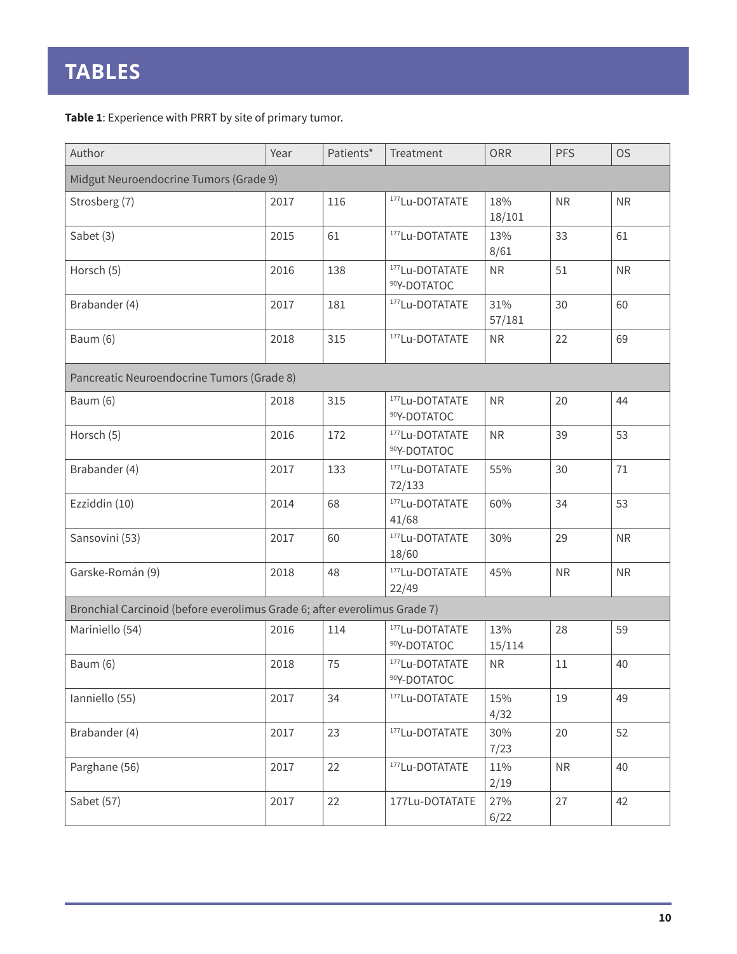**Table 1**: Experience with PRRT by site of primary tumor.

| Author                                                                    | Year | Patients* | Treatment                      | ORR           | <b>PFS</b> | <b>OS</b>  |  |  |  |  |
|---------------------------------------------------------------------------|------|-----------|--------------------------------|---------------|------------|------------|--|--|--|--|
| Midgut Neuroendocrine Tumors (Grade 9)                                    |      |           |                                |               |            |            |  |  |  |  |
| Strosberg (7)                                                             | 2017 | 116       | 177Lu-DOTATATE                 | 18%<br>18/101 | ${\sf NR}$ | ${\sf NR}$ |  |  |  |  |
| Sabet (3)                                                                 | 2015 | 61        | 177Lu-DOTATATE                 | 13%<br>8/61   | 33         | 61         |  |  |  |  |
| Horsch (5)                                                                | 2016 | 138       | 177Lu-DOTATATE<br>90Y-DOTATOC  | <b>NR</b>     | 51         | ${\sf NR}$ |  |  |  |  |
| Brabander (4)                                                             | 2017 | 181       | 177Lu-DOTATATE                 | 31%<br>57/181 | 30         | 60         |  |  |  |  |
| Baum (6)                                                                  | 2018 | 315       | 177 Lu-DOTATATE                | <b>NR</b>     | 22         | 69         |  |  |  |  |
| Pancreatic Neuroendocrine Tumors (Grade 8)                                |      |           |                                |               |            |            |  |  |  |  |
| Baum (6)                                                                  | 2018 | 315       | 177 Lu-DOTATATE<br>90Y-DOTATOC | NR            | 20         | 44         |  |  |  |  |
| Horsch (5)                                                                | 2016 | 172       | 177Lu-DOTATATE<br>90Y-DOTATOC  | <b>NR</b>     | 39         | 53         |  |  |  |  |
| Brabander (4)                                                             | 2017 | 133       | 177Lu-DOTATATE<br>72/133       | 55%           | 30         | 71         |  |  |  |  |
| Ezziddin (10)                                                             | 2014 | 68        | 177Lu-DOTATATE<br>41/68        | 60%           | 34         | 53         |  |  |  |  |
| Sansovini (53)                                                            | 2017 | 60        | 177Lu-DOTATATE<br>18/60        | 30%           | 29         | <b>NR</b>  |  |  |  |  |
| Garske-Román (9)                                                          | 2018 | 48        | 177Lu-DOTATATE<br>22/49        | 45%           | NR         | ${\sf NR}$ |  |  |  |  |
| Bronchial Carcinoid (before everolimus Grade 6; after everolimus Grade 7) |      |           |                                |               |            |            |  |  |  |  |
| Mariniello (54)                                                           | 2016 | 114       | 177Lu-DOTATATE<br>90Y-DOTATOC  | 13%<br>15/114 | 28         | 59         |  |  |  |  |
| Baum (6)                                                                  | 2018 | 75        | 177Lu-DOTATATE<br>90Y-DOTATOC  | <b>NR</b>     | 11         | 40         |  |  |  |  |
| Ianniello (55)                                                            | 2017 | 34        | 177Lu-DOTATATE                 | 15%<br>4/32   | 19         | 49         |  |  |  |  |
| Brabander (4)                                                             | 2017 | 23        | 177Lu-DOTATATE                 | 30%<br>7/23   | 20         | 52         |  |  |  |  |
| Parghane (56)                                                             | 2017 | 22        | 177Lu-DOTATATE                 | 11%<br>2/19   | ${\sf NR}$ | 40         |  |  |  |  |
| Sabet (57)                                                                | 2017 | 22        | 177Lu-DOTATATE                 | 27%<br>6/22   | 27         | 42         |  |  |  |  |